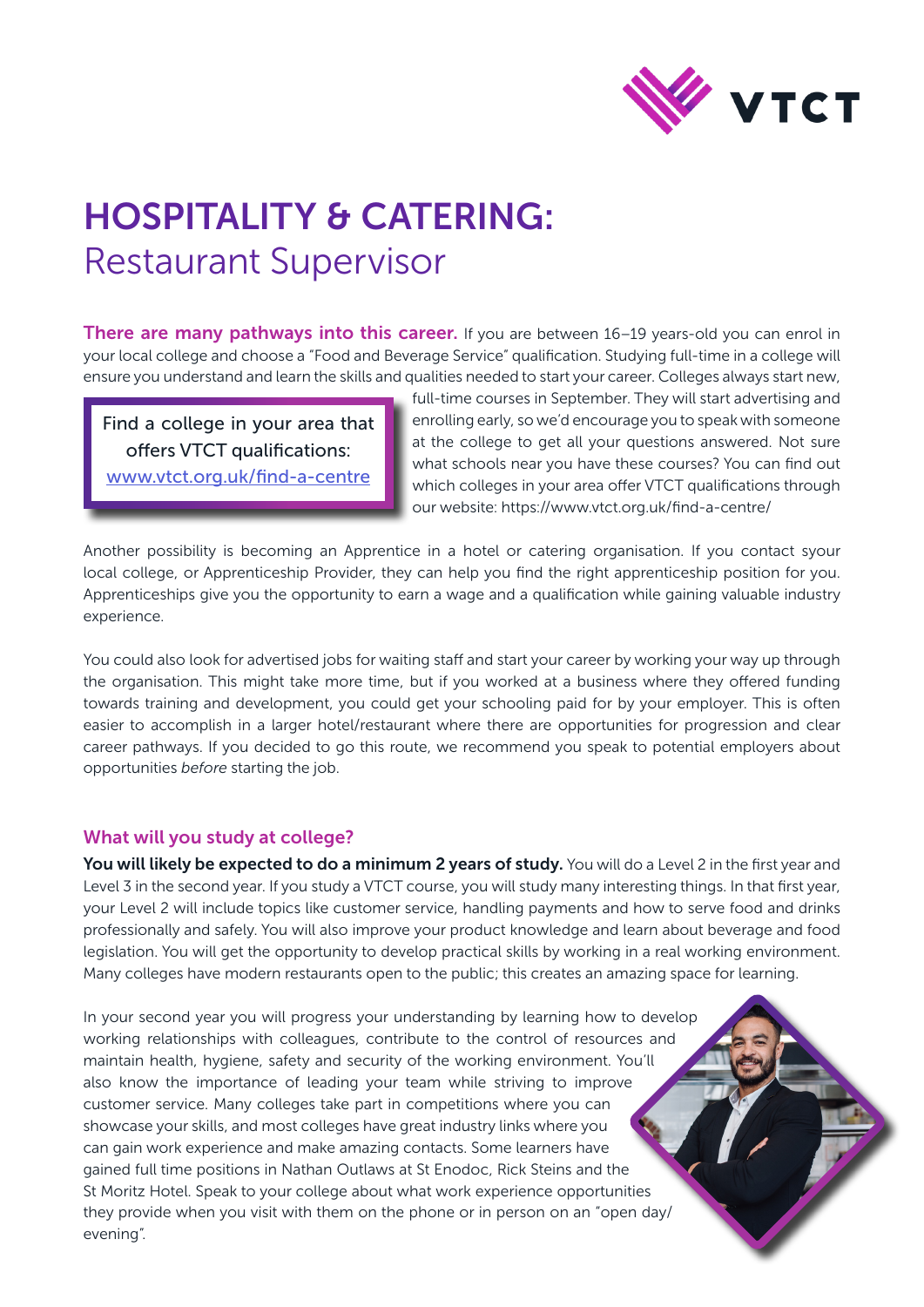

# HOSPITALITY & CATERING: Restaurant Supervisor

There are many pathways into this career. If you are between 16–19 years-old you can enrol in your local college and choose a "Food and Beverage Service" qualification. Studying full-time in a college will ensure you understand and learn the skills and qualities needed to start your career. Colleges always start new,

Find a college in your area that offers VTCT qualifications: [www.vtct.org.uk/find-a-centre](http://www.vtct.org.uk/find-a-centre)

full-time courses in September. They will start advertising and enrolling early, so we'd encourage you to speak with someone at the college to get all your questions answered. Not sure what schools near you have these courses? You can find out which colleges in your area offer VTCT qualifications through our website: https://www.vtct.org.uk/find-a-centre/

Another possibility is becoming an Apprentice in a hotel or catering organisation. If you contact syour local college, or Apprenticeship Provider, they can help you find the right apprenticeship position for you. Apprenticeships give you the opportunity to earn a wage and a qualification while gaining valuable industry experience.

You could also look for advertised jobs for waiting staff and start your career by working your way up through the organisation. This might take more time, but if you worked at a business where they offered funding towards training and development, you could get your schooling paid for by your employer. This is often easier to accomplish in a larger hotel/restaurant where there are opportunities for progression and clear career pathways. If you decided to go this route, we recommend you speak to potential employers about opportunities *before* starting the job.

## What will you study at college?

You will likely be expected to do a minimum 2 years of study. You will do a Level 2 in the first year and Level 3 in the second year. If you study a VTCT course, you will study many interesting things. In that first year, your Level 2 will include topics like customer service, handling payments and how to serve food and drinks professionally and safely. You will also improve your product knowledge and learn about beverage and food legislation. You will get the opportunity to develop practical skills by working in a real working environment. Many colleges have modern restaurants open to the public; this creates an amazing space for learning.

In your second year you will progress your understanding by learning how to develop working relationships with colleagues, contribute to the control of resources and maintain health, hygiene, safety and security of the working environment. You'll also know the importance of leading your team while striving to improve customer service. Many colleges take part in competitions where you can showcase your skills, and most colleges have great industry links where you can gain work experience and make amazing contacts. Some learners have gained full time positions in Nathan Outlaws at St Enodoc, Rick Steins and the St Moritz Hotel. Speak to your college about what work experience opportunities they provide when you visit with them on the phone or in person on an "open day/ evening".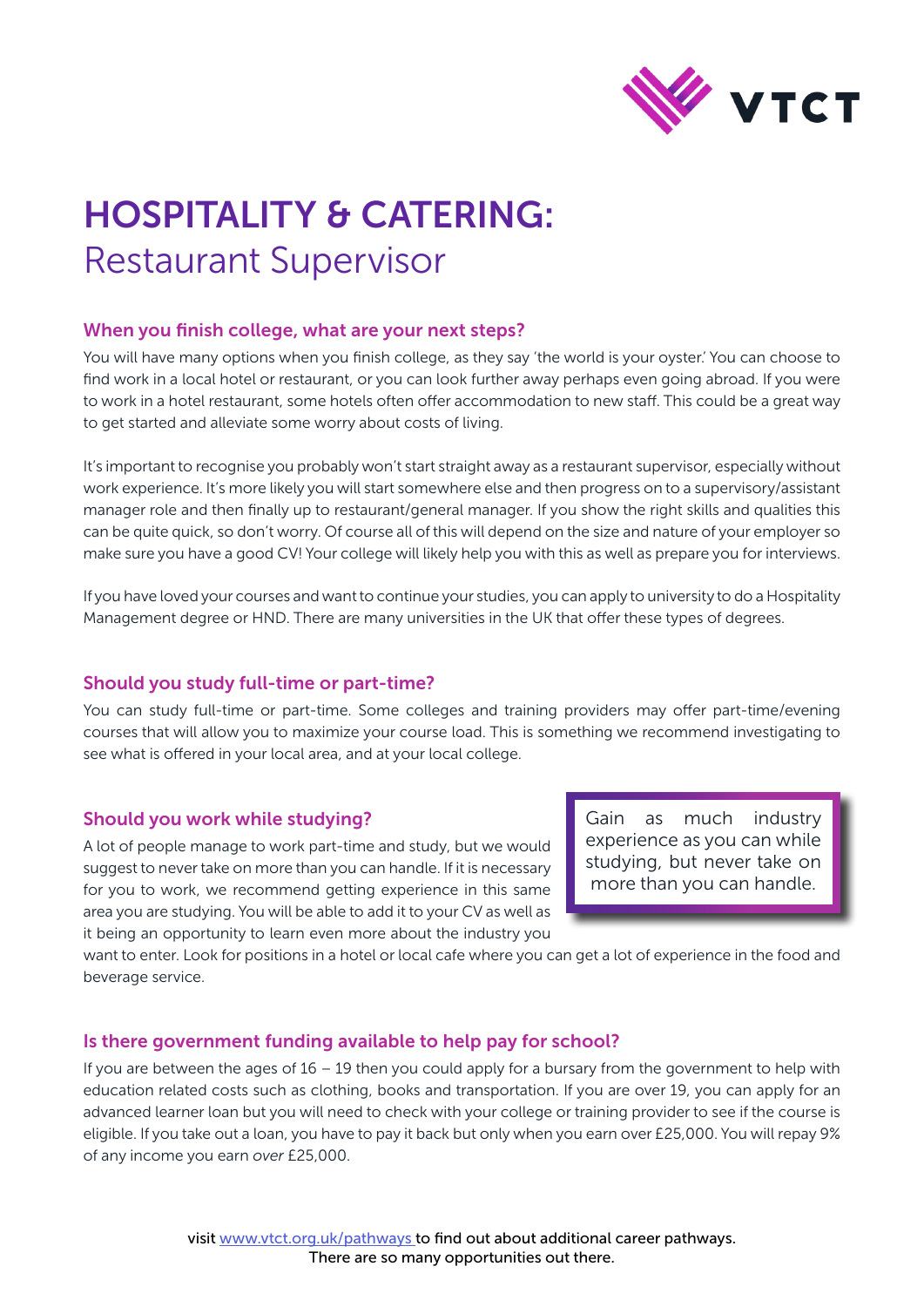

# HOSPITALITY & CATERING: Restaurant Supervisor

## When you finish college, what are your next steps?

You will have many options when you finish college, as they say 'the world is your oyster.' You can choose to find work in a local hotel or restaurant, or you can look further away perhaps even going abroad. If you were to work in a hotel restaurant, some hotels often offer accommodation to new staff. This could be a great way to get started and alleviate some worry about costs of living.

It's important to recognise you probably won't start straight away as a restaurant supervisor, especially without work experience. It's more likely you will start somewhere else and then progress on to a supervisory/assistant manager role and then finally up to restaurant/general manager. If you show the right skills and qualities this can be quite quick, so don't worry. Of course all of this will depend on the size and nature of your employer so make sure you have a good CV! Your college will likely help you with this as well as prepare you for interviews.

If you have loved your courses and want to continue your studies, you can apply to university to do a Hospitality Management degree or HND. There are many universities in the UK that offer these types of degrees.

## Should you study full-time or part-time?

You can study full-time or part-time. Some colleges and training providers may offer part-time/evening courses that will allow you to maximize your course load. This is something we recommend investigating to see what is offered in your local area, and at your local college.

## Should you work while studying?

A lot of people manage to work part-time and study, but we would suggest to never take on more than you can handle. If it is necessary for you to work, we recommend getting experience in this same area you are studying. You will be able to add it to your CV as well as it being an opportunity to learn even more about the industry you

Gain as much industry experience as you can while studying, but never take on more than you can handle.

want to enter. Look for positions in a hotel or local cafe where you can get a lot of experience in the food and beverage service.

## Is there government funding available to help pay for school?

If you are between the ages of 16 – 19 then you could apply for a bursary from the government to help with education related costs such as clothing, books and transportation. If you are over 19, you can apply for an advanced learner loan but you will need to check with your college or training provider to see if the course is eligible. If you take out a loan, you have to pay it back but only when you earn over £25,000. You will repay 9% of any income you earn *over* £25,000.